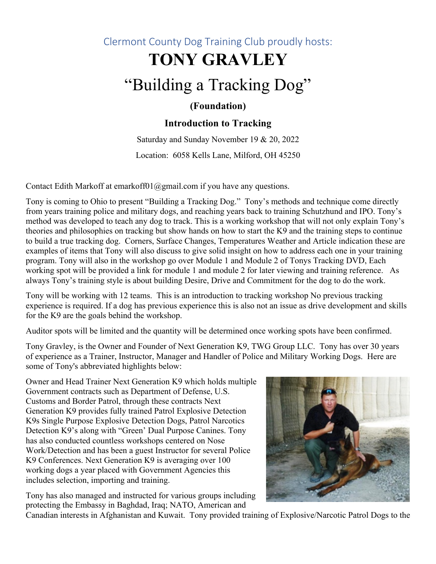## Clermont County Dog Training Club proudly hosts:

## **TONY GRAVLEY**

# "Building a Tracking Dog"

#### **(Foundation)**

#### **Introduction to Tracking**

Saturday and Sunday November 19 & 20, 2022 Location: 6058 Kells Lane, Milford, OH 45250

Contact Edith Markoff at emarkoff $01$ @gmail.com if you have any questions.

Tony is coming to Ohio to present "Building a Tracking Dog." Tony's methods and technique come directly from years training police and military dogs, and reaching years back to training Schutzhund and IPO. Tony's method was developed to teach any dog to track. This is a working workshop that will not only explain Tony's theories and philosophies on tracking but show hands on how to start the K9 and the training steps to continue to build a true tracking dog. Corners, Surface Changes, Temperatures Weather and Article indication these are examples of items that Tony will also discuss to give solid insight on how to address each one in your training program. Tony will also in the workshop go over Module 1 and Module 2 of Tonys Tracking DVD, Each working spot will be provided a link for module 1 and module 2 for later viewing and training reference. As always Tony's training style is about building Desire, Drive and Commitment for the dog to do the work.

Tony will be working with 12 teams. This is an introduction to tracking workshop No previous tracking experience is required. If a dog has previous experience this is also not an issue as drive development and skills for the K9 are the goals behind the workshop.

Auditor spots will be limited and the quantity will be determined once working spots have been confirmed.

Tony Gravley, is the Owner and Founder of Next Generation K9, TWG Group LLC. Tony has over 30 years of experience as a Trainer, Instructor, Manager and Handler of Police and Military Working Dogs. Here are some of Tony's abbreviated highlights below:

Owner and Head Trainer Next Generation K9 which holds multiple Government contracts such as Department of Defense, U.S. Customs and Border Patrol, through these contracts Next Generation K9 provides fully trained Patrol Explosive Detection K9s Single Purpose Explosive Detection Dogs, Patrol Narcotics Detection K9's along with "Green' Dual Purpose Canines. Tony has also conducted countless workshops centered on Nose Work/Detection and has been a guest Instructor for several Police K9 Conferences. Next Generation K9 is averaging over 100 working dogs a year placed with Government Agencies this includes selection, importing and training.





Canadian interests in Afghanistan and Kuwait. Tony provided training of Explosive/Narcotic Patrol Dogs to the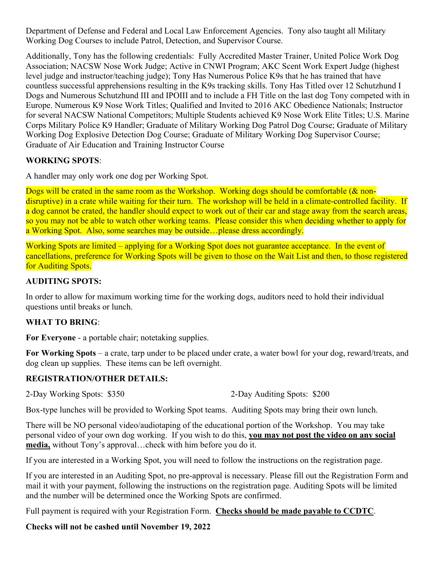Department of Defense and Federal and Local Law Enforcement Agencies. Tony also taught all Military Working Dog Courses to include Patrol, Detection, and Supervisor Course.

Additionally, Tony has the following credentials: Fully Accredited Master Trainer, United Police Work Dog Association; NACSW Nose Work Judge; Active in CNWI Program; AKC Scent Work Expert Judge (highest level judge and instructor/teaching judge); Tony Has Numerous Police K9s that he has trained that have countless successful apprehensions resulting in the K9s tracking skills. Tony Has Titled over 12 Schutzhund I Dogs and Numerous Schutzhund III and IPOIII and to include a FH Title on the last dog Tony competed with in Europe. Numerous K9 Nose Work Titles; Qualified and Invited to 2016 AKC Obedience Nationals; Instructor for several NACSW National Competitors; Multiple Students achieved K9 Nose Work Elite Titles; U.S. Marine Corps Military Police K9 Handler; Graduate of Military Working Dog Patrol Dog Course; Graduate of Military Working Dog Explosive Detection Dog Course; Graduate of Military Working Dog Supervisor Course; Graduate of Air Education and Training Instructor Course

#### **WORKING SPOTS**:

A handler may only work one dog per Working Spot.

Dogs will be crated in the same room as the Workshop. Working dogs should be comfortable (& nondisruptive) in a crate while waiting for their turn. The workshop will be held in a climate-controlled facility. If a dog cannot be crated, the handler should expect to work out of their car and stage away from the search areas, so you may not be able to watch other working teams. Please consider this when deciding whether to apply for a Working Spot. Also, some searches may be outside…please dress accordingly.

Working Spots are limited – applying for a Working Spot does not guarantee acceptance. In the event of cancellations, preference for Working Spots will be given to those on the Wait List and then, to those registered for Auditing Spots.

#### **AUDITING SPOTS:**

In order to allow for maximum working time for the working dogs, auditors need to hold their individual questions until breaks or lunch.

#### **WHAT TO BRING**:

**For Everyone** - a portable chair; notetaking supplies.

**For Working Spots** – a crate, tarp under to be placed under crate, a water bowl for your dog, reward/treats, and dog clean up supplies. These items can be left overnight.

#### **REGISTRATION/OTHER DETAILS:**

2-Day Working Spots: \$350 2-Day Auditing Spots: \$200

Box-type lunches will be provided to Working Spot teams. Auditing Spots may bring their own lunch.

There will be NO personal video/audiotaping of the educational portion of the Workshop. You may take personal video of your own dog working. If you wish to do this, **you may not post the video on any social media,** without Tony's approval…check with him before you do it.

If you are interested in a Working Spot, you will need to follow the instructions on the registration page.

If you are interested in an Auditing Spot, no pre-approval is necessary. Please fill out the Registration Form and mail it with your payment, following the instructions on the registration page. Auditing Spots will be limited and the number will be determined once the Working Spots are confirmed.

Full payment is required with your Registration Form. **Checks should be made payable to CCDTC**.

**Checks will not be cashed until November 19, 2022**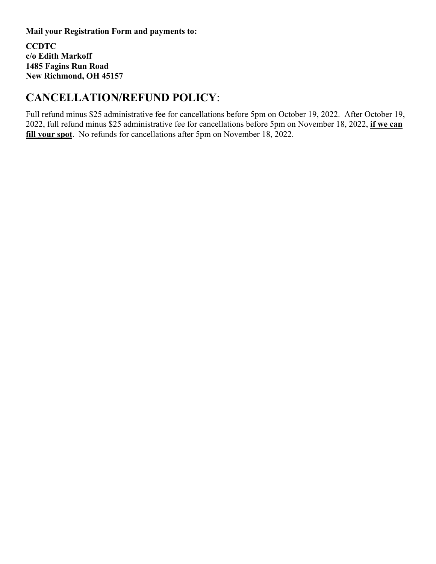**Mail your Registration Form and payments to:**

**CCDTC c/o Edith Markoff 1485 Fagins Run Road New Richmond, OH 45157**

## **CANCELLATION/REFUND POLICY**:

Full refund minus \$25 administrative fee for cancellations before 5pm on October 19, 2022. After October 19, 2022, full refund minus \$25 administrative fee for cancellations before 5pm on November 18, 2022, **if we can fill your spot**. No refunds for cancellations after 5pm on November 18, 2022.